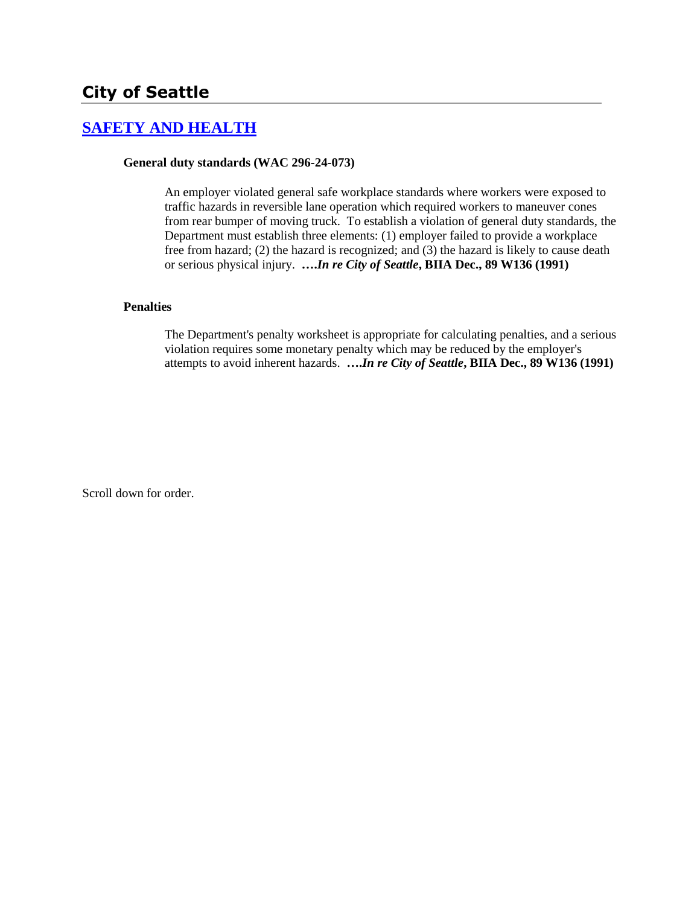# **[SAFETY AND HEALTH](http://www.biia.wa.gov/SDSubjectIndex.html#SAFETY_AND_HEALTH)**

# **General duty standards (WAC 296-24-073)**

An employer violated general safe workplace standards where workers were exposed to traffic hazards in reversible lane operation which required workers to maneuver cones from rear bumper of moving truck. To establish a violation of general duty standards, the Department must establish three elements: (1) employer failed to provide a workplace free from hazard; (2) the hazard is recognized; and (3) the hazard is likely to cause death or serious physical injury. **….***In re City of Seattle***, BIIA Dec., 89 W136 (1991)**

# **Penalties**

The Department's penalty worksheet is appropriate for calculating penalties, and a serious violation requires some monetary penalty which may be reduced by the employer's attempts to avoid inherent hazards. **….***In re City of Seattle***, BIIA Dec., 89 W136 (1991)**

Scroll down for order.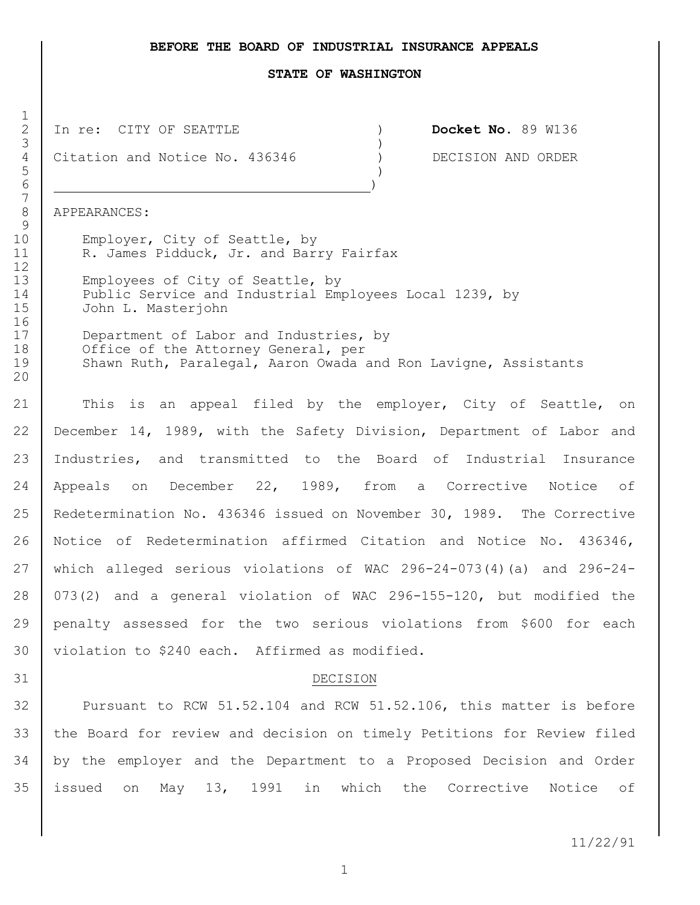## **BEFORE THE BOARD OF INDUSTRIAL INSURANCE APPEALS**

#### **STATE OF WASHINGTON**

 In re:CITY OF SEATTLE ) **Docket No.** 89 W136  $3 \left( \frac{1}{2} \right)$ 

4 Citation and Notice No. 436346 ) DECISION AND ORDER<br>
)

 $\overline{5}$  ) )

APPEARANCES:

10 | Employer, City of Seattle, by 11 R. James Pidduck, Jr. and Barry Fairfax

13 Employees of City of Seattle, by 14 Public Service and Industrial Employees Local 1239, by<br>15 John L. Masteriohn John L. Masterjohn

17 Department of Labor and Industries, by 18 | Office of the Attorney General, per 19 Shawn Ruth, Paralegal, Aaron Owada and Ron Lavigne, Assistants

21 This is an appeal filed by the employer, City of Seattle, on December 14, 1989, with the Safety Division, Department of Labor and Industries, and transmitted to the Board of Industrial Insurance Appeals on December 22, 1989, from a Corrective Notice of Redetermination No. 436346 issued on November 30, 1989. The Corrective Notice of Redetermination affirmed Citation and Notice No. 436346, which alleged serious violations of WAC 296-24-073(4)(a) and 296-24- 073(2) and a general violation of WAC 296-155-120, but modified the penalty assessed for the two serious violations from \$600 for each violation to \$240 each. Affirmed as modified.

#### DECISION

 Pursuant to RCW 51.52.104 and RCW 51.52.106, this matter is before the Board for review and decision on timely Petitions for Review filed by the employer and the Department to a Proposed Decision and Order issued on May 13, 1991 in which the Corrective Notice of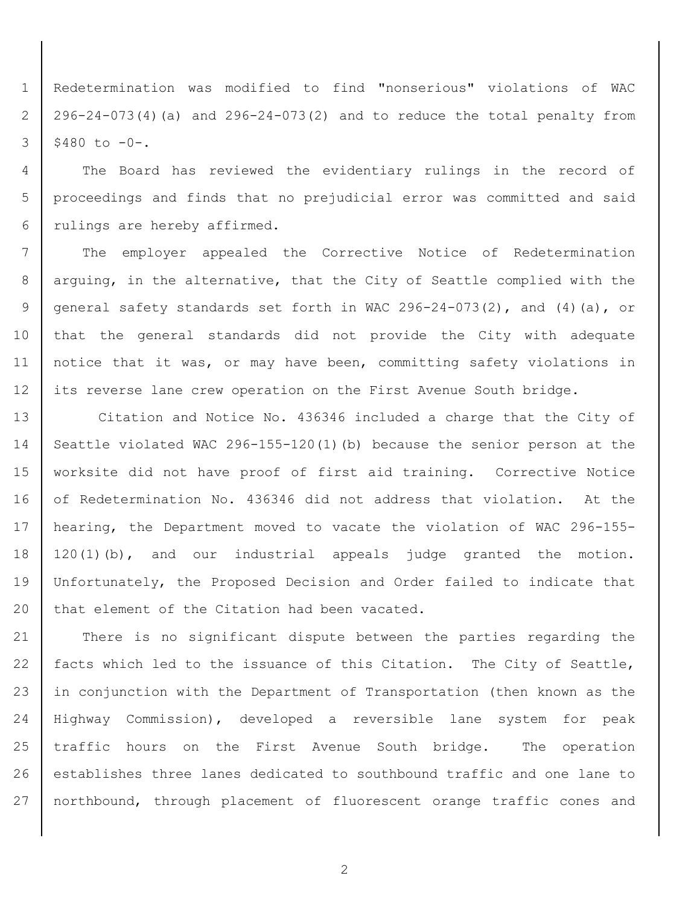Redetermination was modified to find "nonserious" violations of WAC 296-24-073(4)(a) and 296-24-073(2) and to reduce the total penalty from  $3 \mid $480 \text{ to } -0-.$ 

 The Board has reviewed the evidentiary rulings in the record of proceedings and finds that no prejudicial error was committed and said rulings are hereby affirmed.

7 | The employer appealed the Corrective Notice of Redetermination arguing, in the alternative, that the City of Seattle complied with the general safety standards set forth in WAC 296-24-073(2), and (4)(a), or that the general standards did not provide the City with adequate notice that it was, or may have been, committing safety violations in 12 its reverse lane crew operation on the First Avenue South bridge.

13 | Citation and Notice No. 436346 included a charge that the City of Seattle violated WAC 296-155-120(1)(b) because the senior person at the worksite did not have proof of first aid training. Corrective Notice 16 of Redetermination No. 436346 did not address that violation. At the hearing, the Department moved to vacate the violation of WAC 296-155- 120(1)(b), and our industrial appeals judge granted the motion. Unfortunately, the Proposed Decision and Order failed to indicate that 20 that element of the Citation had been vacated.

 There is no significant dispute between the parties regarding the 22 facts which led to the issuance of this Citation. The City of Seattle, 23 in conjunction with the Department of Transportation (then known as the Highway Commission), developed a reversible lane system for peak traffic hours on the First Avenue South bridge. The operation establishes three lanes dedicated to southbound traffic and one lane to northbound, through placement of fluorescent orange traffic cones and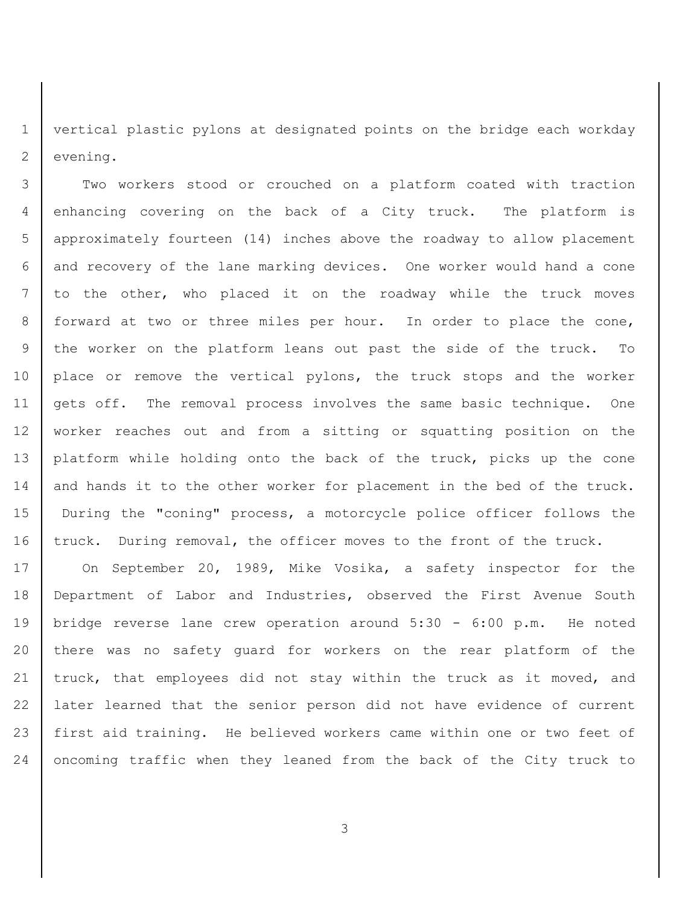vertical plastic pylons at designated points on the bridge each workday evening.

 Two workers stood or crouched on a platform coated with traction enhancing covering on the back of a City truck. The platform is approximately fourteen (14) inches above the roadway to allow placement and recovery of the lane marking devices. One worker would hand a cone to the other, who placed it on the roadway while the truck moves forward at two or three miles per hour. In order to place the cone, the worker on the platform leans out past the side of the truck. To 10 | place or remove the vertical pylons, the truck stops and the worker gets off. The removal process involves the same basic technique. One worker reaches out and from a sitting or squatting position on the platform while holding onto the back of the truck, picks up the cone 14 and hands it to the other worker for placement in the bed of the truck. During the "coning" process, a motorcycle police officer follows the 16 truck. During removal, the officer moves to the front of the truck.

 On September 20, 1989, Mike Vosika, a safety inspector for the Department of Labor and Industries, observed the First Avenue South bridge reverse lane crew operation around 5:30 - 6:00 p.m. He noted there was no safety guard for workers on the rear platform of the 21 truck, that employees did not stay within the truck as it moved, and later learned that the senior person did not have evidence of current first aid training. He believed workers came within one or two feet of oncoming traffic when they leaned from the back of the City truck to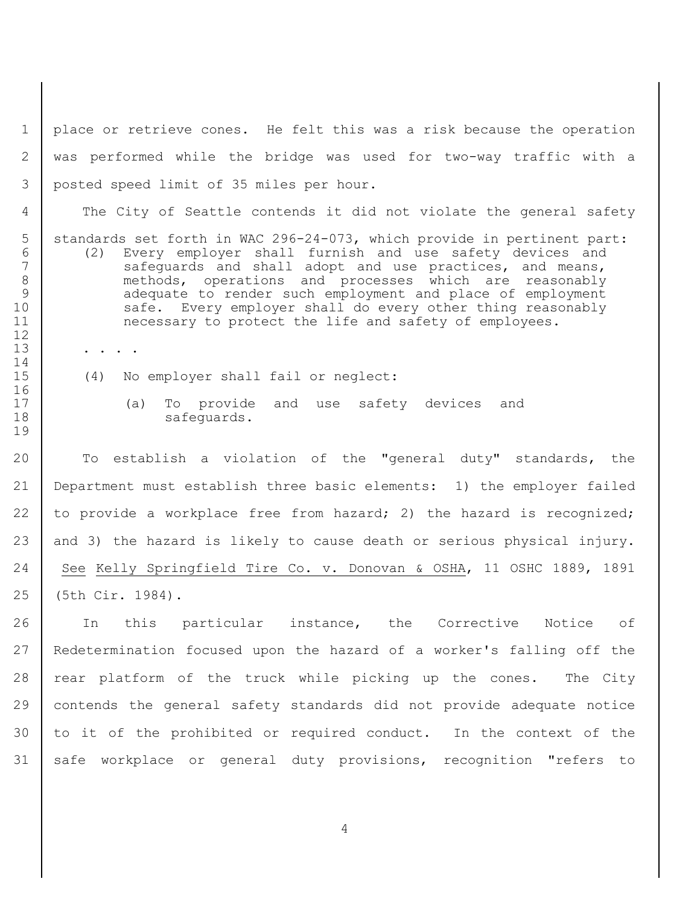place or retrieve cones. He felt this was a risk because the operation was performed while the bridge was used for two-way traffic with a posted speed limit of 35 miles per hour.

The City of Seattle contends it did not violate the general safety

- 5 | standards set forth in WAC 296-24-073, which provide in pertinent part: (2) Every employer shall furnish and use safety devices and 7 safeguards and shall adopt and use practices, and means, methods, operations and processes which are reasonably 9 | adequate to render such employment and place of employment 10 safe. Every employer shall do every other thing reasonably 11 necessary to protect the life and safety of employees.
- (4) No employer shall fail or neglect:

13 . . .

 (a) To provide and use safety devices and 18 safeguards.

 To establish a violation of the "general duty" standards, the Department must establish three basic elements: 1) the employer failed 22 to provide a workplace free from hazard; 2) the hazard is recognized;  $|$  and 3) the hazard is likely to cause death or serious physical injury. See Kelly Springfield Tire Co. v. Donovan & OSHA, 11 OSHC 1889, 1891 (5th Cir. 1984).

26 | In this particular instance, the Corrective Notice of Redetermination focused upon the hazard of a worker's falling off the 28 | rear platform of the truck while picking up the cones. The City contends the general safety standards did not provide adequate notice to it of the prohibited or required conduct. In the context of the 31 | safe workplace or general duty provisions, recognition "refers to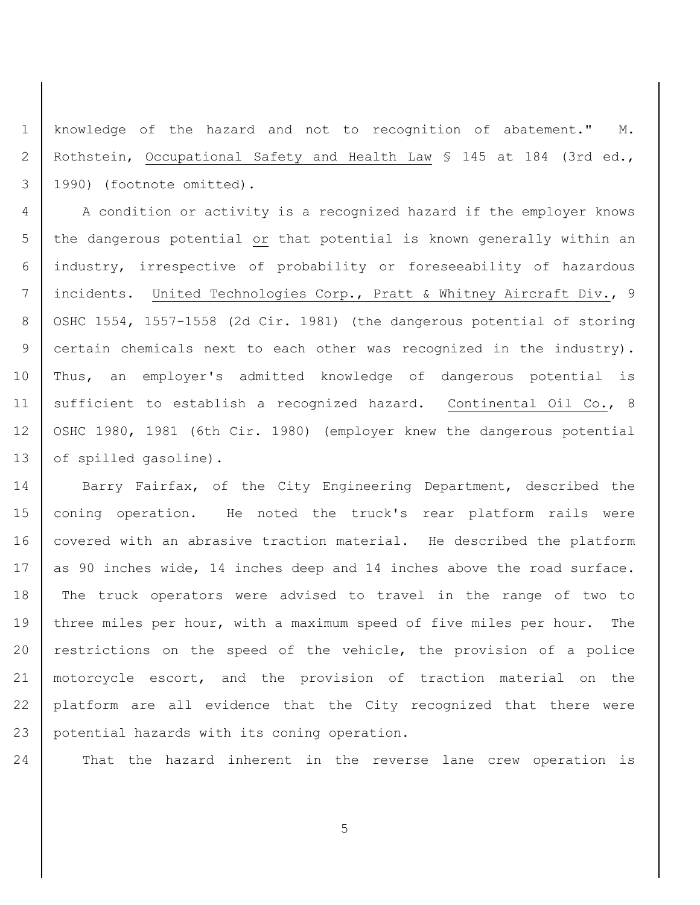knowledge of the hazard and not to recognition of abatement." M. Rothstein, Occupational Safety and Health Law § 145 at 184 (3rd ed., 1990) (footnote omitted).

 A condition or activity is a recognized hazard if the employer knows 5 the dangerous potential or that potential is known generally within an industry, irrespective of probability or foreseeability of hazardous incidents. United Technologies Corp., Pratt & Whitney Aircraft Div., 9 8 | OSHC 1554, 1557-1558 (2d Cir. 1981) (the dangerous potential of storing certain chemicals next to each other was recognized in the industry). Thus, an employer's admitted knowledge of dangerous potential is 11 | sufficient to establish a recognized hazard. Continental Oil Co., 8 OSHC 1980, 1981 (6th Cir. 1980) (employer knew the dangerous potential 13 of spilled gasoline).

14 Barry Fairfax, of the City Engineering Department, described the coning operation. He noted the truck's rear platform rails were 16 | covered with an abrasive traction material. He described the platform 17 as 90 inches wide, 14 inches deep and 14 inches above the road surface. The truck operators were advised to travel in the range of two to 19 three miles per hour, with a maximum speed of five miles per hour. The 20 | restrictions on the speed of the vehicle, the provision of a police motorcycle escort, and the provision of traction material on the platform are all evidence that the City recognized that there were potential hazards with its coning operation.

That the hazard inherent in the reverse lane crew operation is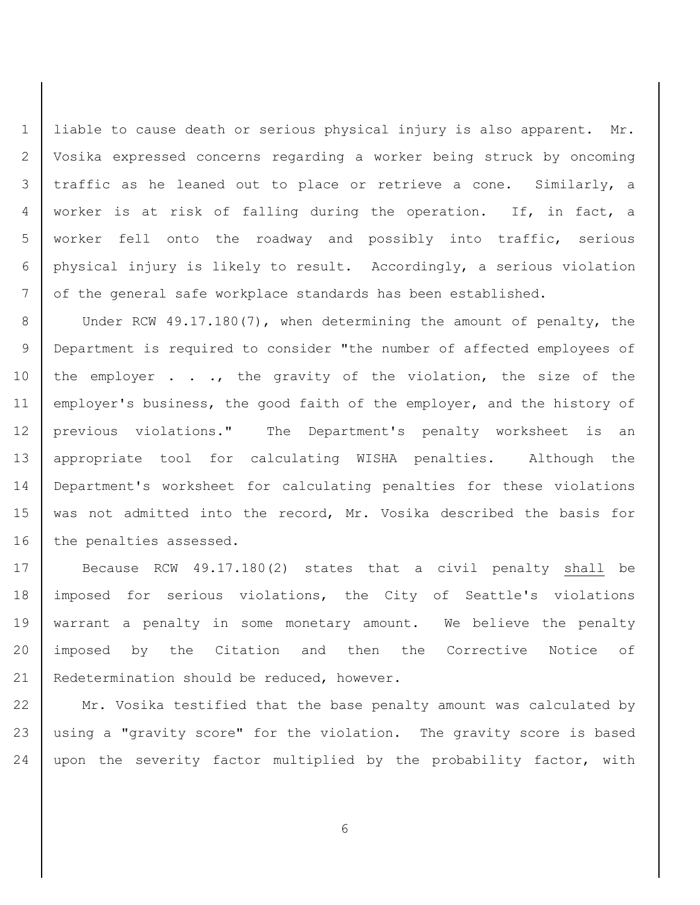liable to cause death or serious physical injury is also apparent. Mr. Vosika expressed concerns regarding a worker being struck by oncoming traffic as he leaned out to place or retrieve a cone. Similarly, a worker is at risk of falling during the operation. If, in fact, a worker fell onto the roadway and possibly into traffic, serious physical injury is likely to result. Accordingly, a serious violation of the general safe workplace standards has been established.

8 Under RCW 49.17.180(7), when determining the amount of penalty, the Department is required to consider "the number of affected employees of 10 the employer . . ., the gravity of the violation, the size of the employer's business, the good faith of the employer, and the history of previous violations." The Department's penalty worksheet is an appropriate tool for calculating WISHA penalties. Although the Department's worksheet for calculating penalties for these violations was not admitted into the record, Mr. Vosika described the basis for 16 the penalties assessed.

17 Because RCW 49.17.180(2) states that a civil penalty shall be imposed for serious violations, the City of Seattle's violations warrant a penalty in some monetary amount. We believe the penalty imposed by the Citation and then the Corrective Notice of 21 Redetermination should be reduced, however.

 Mr. Vosika testified that the base penalty amount was calculated by using a "gravity score" for the violation. The gravity score is based 24 | upon the severity factor multiplied by the probability factor, with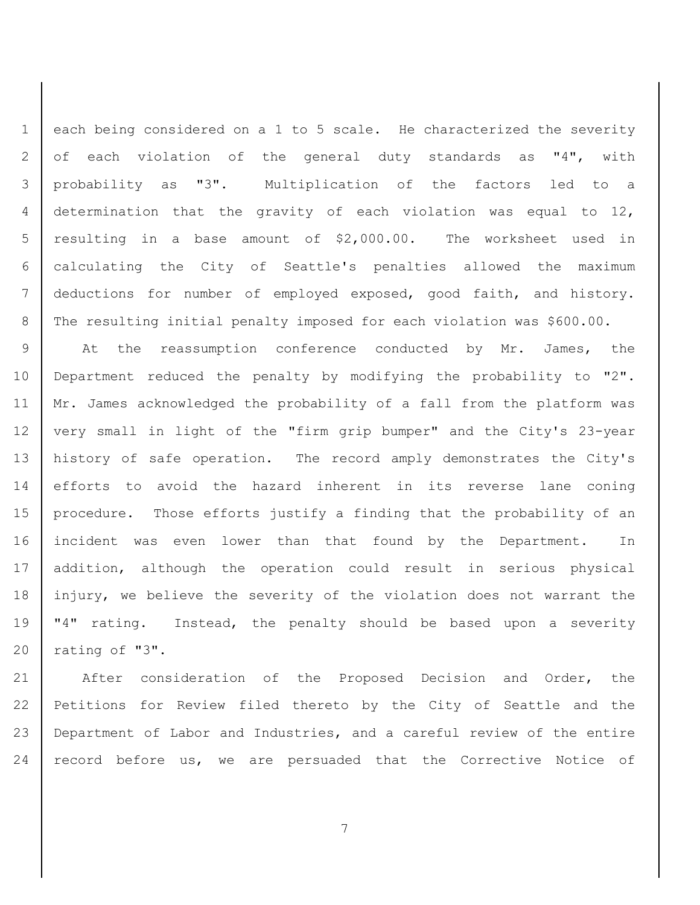1 | each being considered on a 1 to 5 scale. He characterized the severity 2 of each violation of the general duty standards as "4", with probability as "3". Multiplication of the factors led to a determination that the gravity of each violation was equal to 12, resulting in a base amount of \$2,000.00. The worksheet used in calculating the City of Seattle's penalties allowed the maximum deductions for number of employed exposed, good faith, and history. 8 The resulting initial penalty imposed for each violation was \$600.00.

9 At the reassumption conference conducted by Mr. James, the Department reduced the penalty by modifying the probability to "2". 11 | Mr. James acknowledged the probability of a fall from the platform was 12 | very small in light of the "firm grip bumper" and the City's 23-year history of safe operation. The record amply demonstrates the City's efforts to avoid the hazard inherent in its reverse lane coning procedure. Those efforts justify a finding that the probability of an incident was even lower than that found by the Department. In addition, although the operation could result in serious physical injury, we believe the severity of the violation does not warrant the 19 | "4" rating. Instead, the penalty should be based upon a severity rating of "3".

21 | After consideration of the Proposed Decision and Order, the 22 Petitions for Review filed thereto by the City of Seattle and the 23 Department of Labor and Industries, and a careful review of the entire 24 | record before us, we are persuaded that the Corrective Notice of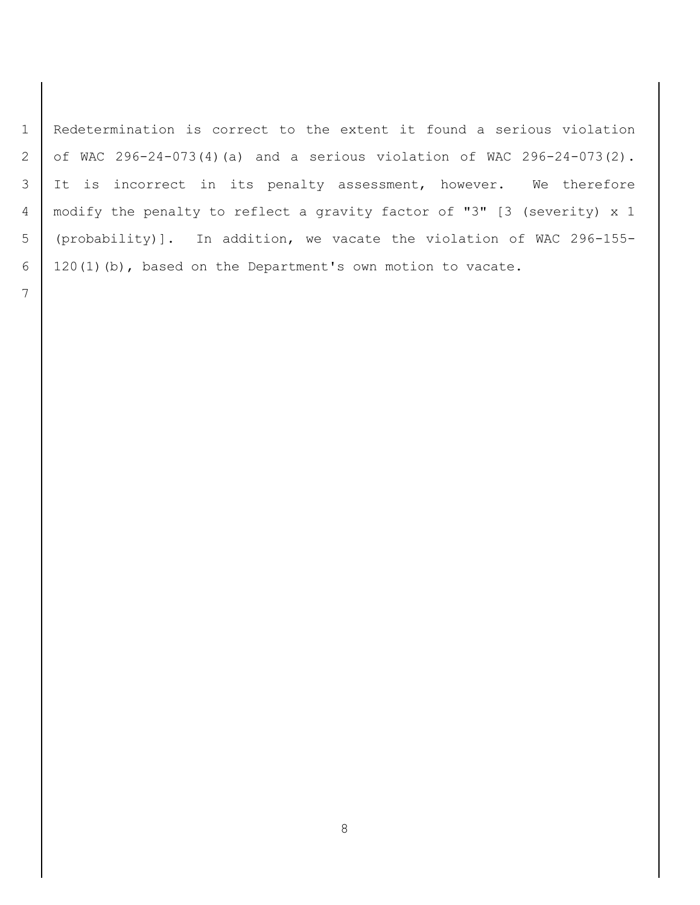Redetermination is correct to the extent it found a serious violation of WAC 296-24-073(4)(a) and a serious violation of WAC 296-24-073(2). 3 It is incorrect in its penalty assessment, however. We therefore modify the penalty to reflect a gravity factor of "3" [3 (severity) x 1 (probability)]. In addition, we vacate the violation of WAC 296-155- 120(1)(b), based on the Department's own motion to vacate.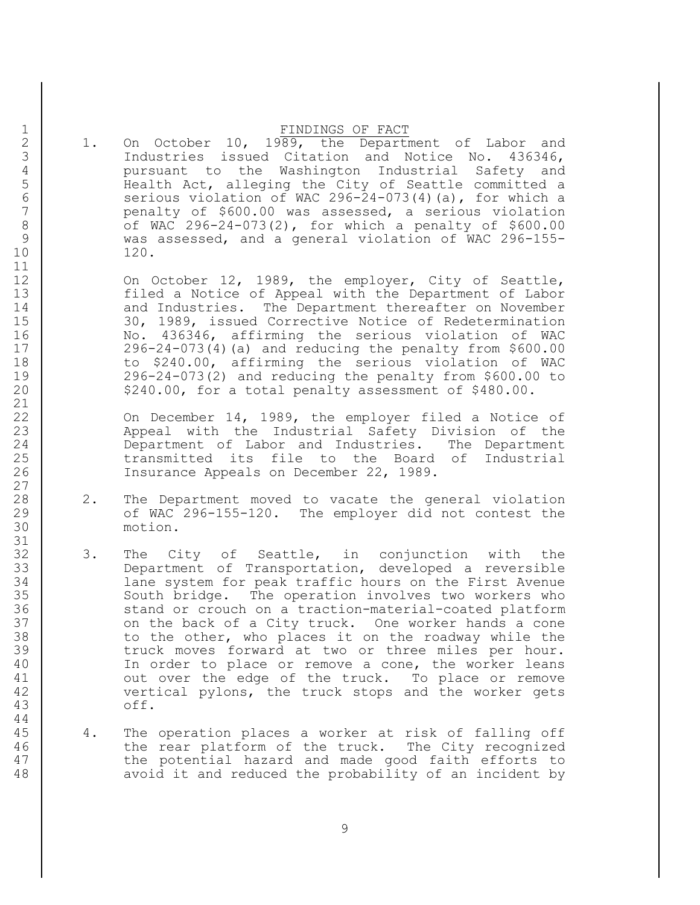## 1 FINDINGS OF FACT

2 1. On October 10, 1989, the Department of Labor and<br>3 1ndustries issued Citation and Notice No. 436346, Industries issued Citation and Notice No. 436346, 4 pursuant to the Washington Industrial Safety and<br>5 Bealth Act, alleging the City of Seattle committed a 5 Health Act, alleging the City of Seattle committed a 6 serious violation of WAC 296-24-073(4)(a), for which a 7 penalty of \$600.00 was assessed, a serious violation 8 | of WAC 296-24-073(2), for which a penalty of \$600.00 9 was assessed, and a general violation of WAC 296-155- 10 120.

12 On October 12, 1989, the employer, City of Seattle, 13 filed a Notice of Appeal with the Department of Labor 14 and Industries. The Department thereafter on November 15 30, 1989, issued Corrective Notice of Redetermination 16 No. 436346, affirming the serious violation of WAC 17 296-24-073(4)(a) and reducing the penalty from \$600.00 18 to \$240.00, affirming the serious violation of WAC 19 296-24-073(2) and reducing the penalty from \$600.00 to 20 \$240.00, for a total penalty assessment of \$480.00.

22 On December 14, 1989, the employer filed a Notice of 23 Appeal with the Industrial Safety Division of the 24 Department of Labor and Industries. The Department 25 | transmitted its file to the Board of Industrial 26 Insurance Appeals on December 22, 1989.

- 28 2. The Department moved to vacate the general violation 29 of WAC 296-155-120. The employer did not contest the 30 motion.
- 32 3. The City of Seattle, in conjunction with the 33 Department of Transportation, developed a reversible 34 lane system for peak traffic hours on the First Avenue 35 South bridge. The operation involves two workers who 36 stand or crouch on a traction-material-coated platform 37 on the back of a City truck. One worker hands a cone 38 to the other, who places it on the roadway while the 39 | truck moves forward at two or three miles per hour. 40 In order to place or remove a cone, the worker leans 41 | out over the edge of the truck. To place or remove 42 vertical pylons, the truck stops and the worker gets 43 off.
- 45 4. The operation places a worker at risk of falling off 46 the rear platform of the truck. The City recognized 47 the potential hazard and made good faith efforts to 48 avoid it and reduced the probability of an incident by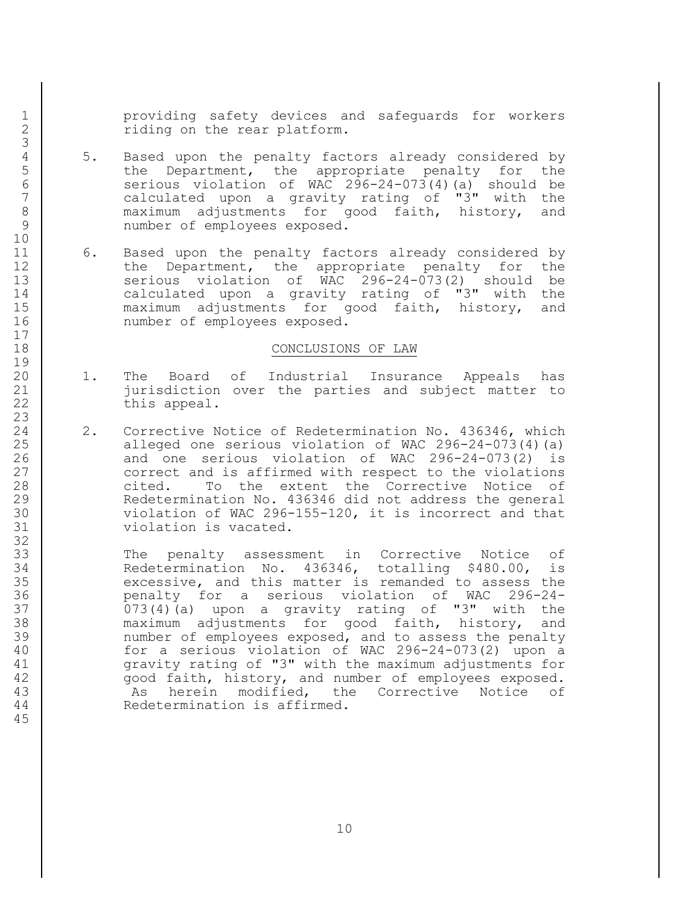1 providing safety devices and safeguards for workers 2 Tiding on the rear platform.

- 4 5. Based upon the penalty factors already considered by<br>5 the Department, the appropriate penalty for the the Department, the appropriate penalty for the 6 serious violation of WAC 296-24-073(4)(a) should be<br>7 calculated upon a gravity rating of "3" with the calculated upon a gravity rating of "3" with the 8 maximum adjustments for good faith, history, and 9 | number of employees exposed.
- 11 6. Based upon the penalty factors already considered by 12 the Department, the appropriate penalty for the 13 serious violation of WAC 296-24-073(2) should be 14 calculated upon a gravity rating of "3" with the 15 | maximum adjustments for good faith, history, and 16 | number of employees exposed.

#### 18 CONCLUSIONS OF LAW

- 20 1. The Board of Industrial Insurance Appeals has 21 jurisdiction over the parties and subject matter to 22 this appeal.
- 24 2. Corrective Notice of Redetermination No. 436346, which 25 | alleged one serious violation of WAC 296-24-073(4)(a) 26 and one serious violation of WAC 296-24-073(2) is 27 correct and is affirmed with respect to the violations 28 cited. To the extent the Corrective Notice of 29 | Redetermination No. 436346 did not address the general 30 violation of WAC 296-155-120, it is incorrect and that 31 violation is vacated.

33 The penalty assessment in Corrective Notice of 34 Redetermination No. 436346, totalling \$480.00, is 35 excessive, and this matter is remanded to assess the 36 penalty for a serious violation of WAC 296-24- 37 073(4)(a) upon a gravity rating of "3" with the 38 maximum adjustments for good faith, history, and 39 | mumber of employees exposed, and to assess the penalty 40 for a serious violation of WAC 296-24-073(2) upon a 41 gravity rating of "3" with the maximum adjustments for 42 | cood faith, history, and number of employees exposed. 43 As herein modified, the Corrective Notice of 44 Redetermination is affirmed.